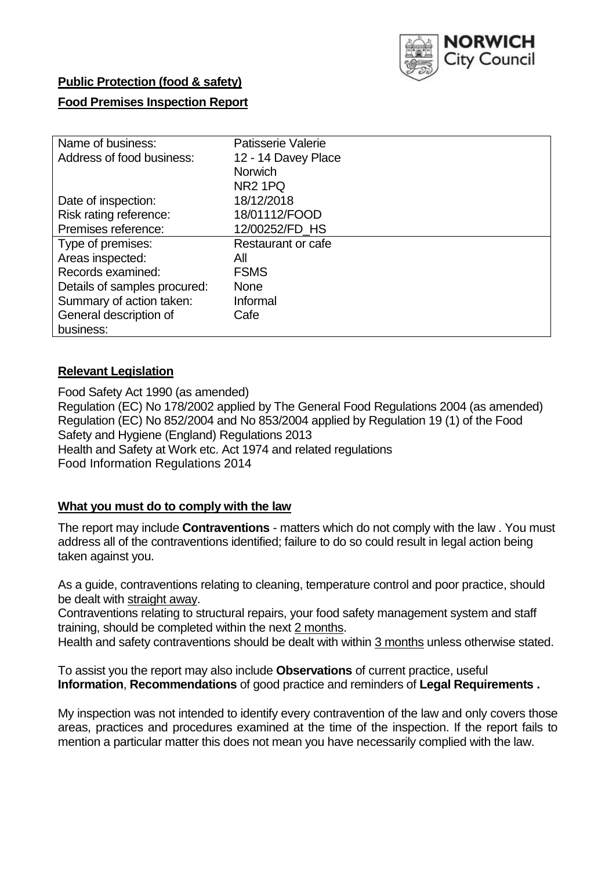

## **Public Protection (food & safety)**

### **Food Premises Inspection Report**

| Name of business:            | <b>Patisserie Valerie</b> |
|------------------------------|---------------------------|
| Address of food business:    | 12 - 14 Davey Place       |
|                              | <b>Norwich</b>            |
|                              | NR <sub>2</sub> 1PQ       |
| Date of inspection:          | 18/12/2018                |
| Risk rating reference:       | 18/01112/FOOD             |
| Premises reference:          | 12/00252/FD_HS            |
| Type of premises:            | Restaurant or cafe        |
| Areas inspected:             | Αll                       |
| Records examined:            | <b>FSMS</b>               |
| Details of samples procured: | <b>None</b>               |
| Summary of action taken:     | Informal                  |
| General description of       | Cafe                      |
| business:                    |                           |

### **Relevant Legislation**

Food Safety Act 1990 (as amended) Regulation (EC) No 178/2002 applied by The General Food Regulations 2004 (as amended) Regulation (EC) No 852/2004 and No 853/2004 applied by Regulation 19 (1) of the Food Safety and Hygiene (England) Regulations 2013 Health and Safety at Work etc. Act 1974 and related regulations Food Information Regulations 2014

## **What you must do to comply with the law**

The report may include **Contraventions** - matters which do not comply with the law . You must address all of the contraventions identified; failure to do so could result in legal action being taken against you.

As a guide, contraventions relating to cleaning, temperature control and poor practice, should be dealt with straight away.

Contraventions relating to structural repairs, your food safety management system and staff training, should be completed within the next 2 months.

Health and safety contraventions should be dealt with within 3 months unless otherwise stated.

To assist you the report may also include **Observations** of current practice, useful **Information**, **Recommendations** of good practice and reminders of **Legal Requirements .**

My inspection was not intended to identify every contravention of the law and only covers those areas, practices and procedures examined at the time of the inspection. If the report fails to mention a particular matter this does not mean you have necessarily complied with the law.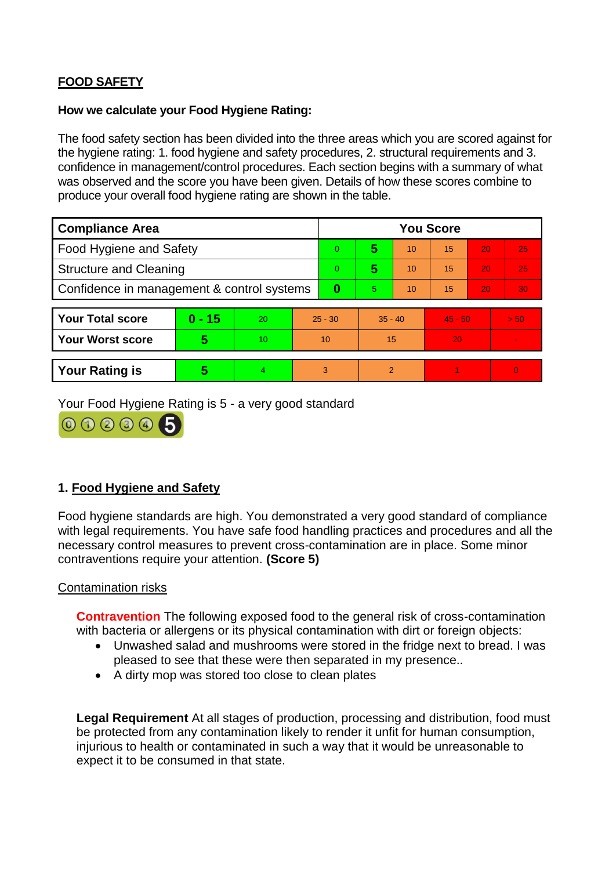# **FOOD SAFETY**

#### **How we calculate your Food Hygiene Rating:**

The food safety section has been divided into the three areas which you are scored against for the hygiene rating: 1. food hygiene and safety procedures, 2. structural requirements and 3. confidence in management/control procedures. Each section begins with a summary of what was observed and the score you have been given. Details of how these scores combine to produce your overall food hygiene rating are shown in the table.

| <b>Compliance Area</b>                     |          |    |           | <b>You Score</b> |                |    |           |    |          |  |  |
|--------------------------------------------|----------|----|-----------|------------------|----------------|----|-----------|----|----------|--|--|
| Food Hygiene and Safety                    |          |    |           | $\Omega$         | 5              | 10 | 15        | 20 | 25       |  |  |
| <b>Structure and Cleaning</b>              |          |    | $\Omega$  | 5                | 10             | 15 | 20        | 25 |          |  |  |
| Confidence in management & control systems |          |    | $\bf{0}$  | 5                | 10             | 15 | 20        | 30 |          |  |  |
|                                            |          |    |           |                  |                |    |           |    |          |  |  |
| <b>Your Total score</b>                    | $0 - 15$ | 20 | $25 - 30$ |                  | $35 - 40$      |    | $45 - 50$ |    | > 50     |  |  |
| <b>Your Worst score</b>                    | 5        | 10 | 10        |                  | 15             |    | 20        |    |          |  |  |
|                                            |          |    |           |                  |                |    |           |    |          |  |  |
| <b>Your Rating is</b>                      | 5        | 4  |           | 3                | $\overline{2}$ |    |           |    | $\Omega$ |  |  |

Your Food Hygiene Rating is 5 - a very good standard



## **1. Food Hygiene and Safety**

Food hygiene standards are high. You demonstrated a very good standard of compliance with legal requirements. You have safe food handling practices and procedures and all the necessary control measures to prevent cross-contamination are in place. Some minor contraventions require your attention. **(Score 5)**

### Contamination risks

**Contravention** The following exposed food to the general risk of cross-contamination with bacteria or allergens or its physical contamination with dirt or foreign objects:

- Unwashed salad and mushrooms were stored in the fridge next to bread. I was pleased to see that these were then separated in my presence..
- A dirty mop was stored too close to clean plates

**Legal Requirement** At all stages of production, processing and distribution, food must be protected from any contamination likely to render it unfit for human consumption, injurious to health or contaminated in such a way that it would be unreasonable to expect it to be consumed in that state.